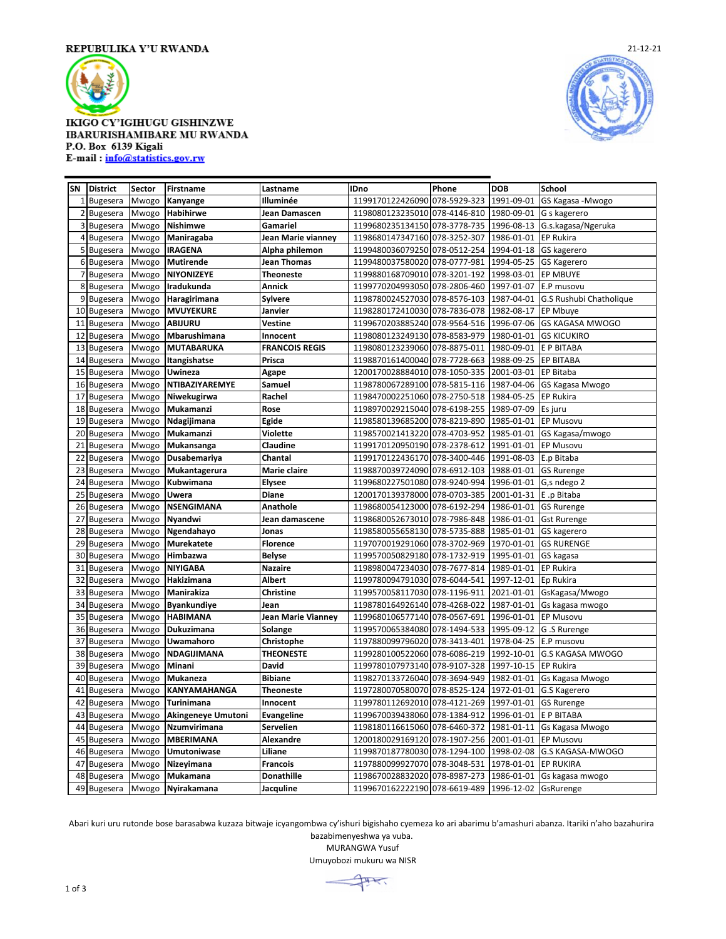

## **IKIGO CY'IGIHUGU GISHINZWE IBARURISHAMIBARE MU RWANDA** P.O. Box 6139 Kigali E-mail: info@statistics.gov.rw



| SN             | <b>District</b> | Sector | <b>Firstname</b>   | Lastname              | <b>IDno</b>                   | Phone        | <b>DOB</b> | School                  |
|----------------|-----------------|--------|--------------------|-----------------------|-------------------------------|--------------|------------|-------------------------|
| 1              | <b>Bugesera</b> | Mwogo  | Kanyange           | Illuminée             | 1199170122426090 078-5929-323 |              | 1991-09-01 | GS Kagasa - Mwogo       |
| 2              | <b>Bugesera</b> | Mwogo  | Habihirwe          | Jean Damascen         | 1198080123235010 078-4146-810 |              | 1980-09-01 | G s kagerero            |
| 3              | <b>Bugesera</b> | Mwogo  | Nishimwe           | Gamariel              | 1199680235134150 078-3778-735 |              | 1996-08-13 | G.s.kagasa/Ngeruka      |
|                | 4 Bugesera      | Mwogo  | Maniragaba         | Jean Marie vianney    | 1198680147347160 078-3252-307 |              | 1986-01-01 | EP Rukira               |
|                | 5 Bugesera      | Mwogo  | <b>IRAGENA</b>     | Alpha philemon        | 1199480036079250 078-0512-254 |              | 1994-01-18 | <b>GS</b> kagerero      |
| 6 <sup>1</sup> | <b>Bugesera</b> | Mwogo  | <b>Mutirende</b>   | Jean Thomas           | 1199480037580020 078-0777-981 |              | 1994-05-25 | <b>GS Kagerero</b>      |
| 7              | <b>Bugesera</b> | Mwogo  | <b>NIYONIZEYE</b>  | <b>Theoneste</b>      | 1199880168709010 078-3201-192 |              | 1998-03-01 | <b>EP MBUYE</b>         |
| 8              | Bugesera        | Mwogo  | Iradukunda         | Annick                | 1199770204993050 078-2806-460 |              | 1997-01-07 | E.P musovu              |
| 9              | <b>Bugesera</b> | Mwogo  | Haragirimana       | <b>Sylvere</b>        | 1198780024527030 078-8576-103 |              | 1987-04-01 | G.S Rushubi Chatholique |
| 10             | Bugesera        | Mwogo  | <b>MVUYEKURE</b>   | Janvier               | 1198280172410030 078-7836-078 |              | 1982-08-17 | <b>EP Mbuye</b>         |
| 11             | <b>Bugesera</b> | Mwogo  | <b>ABIJURU</b>     | Vestine               | 1199670203885240 078-9564-516 |              | 1996-07-06 | <b>GS KAGASA MWOGO</b>  |
| 12             | <b>Bugesera</b> | Mwogo  | Mbarushimana       | Innocent              | 1198080123249130 078-8583-979 |              | 1980-01-01 | <b>GS KICUKIRO</b>      |
| 13             | <b>Bugesera</b> | Mwogo  | <b>MUTABARUKA</b>  | <b>FRANCOIS REGIS</b> | 1198080123239060 078-8875-011 |              | 1980-09-01 | E P BITABA              |
| 14             | <b>Bugesera</b> | Mwogo  | Itangishatse       | Prisca                | 1198870161400040 078-7728-663 |              | 1988-09-25 | <b>EP BITABA</b>        |
| 15             | <b>Bugesera</b> | Mwogo  | Uwineza            | Agape                 | 1200170028884010 078-1050-335 |              | 2001-03-01 | EP Bitaba               |
| 16             | <b>Bugesera</b> | Mwogo  | NTIBAZIYAREMYE     | Samuel                | 1198780067289100 078-5815-116 |              | 1987-04-06 | GS Kagasa Mwogo         |
| 17             | Bugesera        | Mwogo  | Niwekugirwa        | Rachel                | 1198470002251060 078-2750-518 |              | 1984-05-25 | <b>EP Rukira</b>        |
| 18             | <b>Bugesera</b> | Mwogo  | Mukamanzi          | Rose                  | 1198970029215040 078-6198-255 |              | 1989-07-09 | Es juru                 |
| 19             | <b>Bugesera</b> | Mwogo  | Ndagijimana        | Egide                 | 1198580139685200 078-8219-890 |              | 1985-01-01 | <b>EP Musovu</b>        |
| 20             | <b>Bugesera</b> | Mwogo  | Mukamanzi          | Violette              | 1198570021413220              | 078-4703-952 | 1985-01-01 | GS Kagasa/mwogo         |
| 21             | <b>Bugesera</b> | Mwogo  | Mukansanga         | Claudine              | 1199170120950190 078-2378-612 |              | 1991-01-01 | EP Musovu               |
| 22             | <b>Bugesera</b> | Mwogo  | Dusabemariya       | Chantal               | 1199170122436170 078-3400-446 |              | 1991-08-03 | E.p Bitaba              |
| 23             | <b>Bugesera</b> | Mwogo  | Mukantagerura      | Marie claire          | 1198870039724090 078-6912-103 |              | 1988-01-01 | <b>GS Rurenge</b>       |
| 24             | Bugesera        | Mwogo  | Kubwimana          | <b>Elysee</b>         | 1199680227501080 078-9240-994 |              | 1996-01-01 | G,s ndego 2             |
| 25             | <b>Bugesera</b> | Mwogo  | Uwera              | <b>Diane</b>          | 1200170139378000 078-0703-385 |              | 2001-01-31 | E.p Bitaba              |
| 26             | <b>Bugesera</b> | Mwogo  | NSENGIMANA         | Anathole              | 1198680054123000 078-6192-294 |              | 1986-01-01 | <b>GS Rurenge</b>       |
| 27             | <b>Bugesera</b> | Mwogo  | Nyandwi            | Jean damascene        | 1198680052673010 078-7986-848 |              | 1986-01-01 | <b>Gst Rurenge</b>      |
| 28             | <b>Bugesera</b> | Mwogo  | Ngendahayo         | Jonas                 | 1198580055658130 078-5735-888 |              | 1985-01-01 | GS kagerero             |
| 29             | Bugesera        | Mwogo  | <b>Murekatete</b>  | <b>Florence</b>       | 1197070019291060 078-3702-969 |              | 1970-01-01 | <b>GS RURENGE</b>       |
| 30             | <b>Bugesera</b> | Mwogo  | Himbazwa           | <b>Belyse</b>         | 1199570050829180 078-1732-919 |              | 1995-01-01 | GS kagasa               |
| 31             | <b>Bugesera</b> | Mwogo  | <b>NIYIGABA</b>    | <b>Nazaire</b>        | 1198980047234030 078-7677-814 |              | 1989-01-01 | <b>EP Rukira</b>        |
| 32             | Bugesera        | Mwogo  | Hakizimana         | <b>Albert</b>         | 1199780094791030 078-6044-541 |              | 1997-12-01 | Ep Rukira               |
| 33             | <b>Bugesera</b> | Mwogo  | Manirakiza         | Christine             | 1199570058117030 078-1196-911 |              | 2021-01-01 | GsKagasa/Mwogo          |
| 34             | <b>Bugesera</b> | Mwogo  | <b>Byankundiye</b> | Jean                  | 1198780164926140 078-4268-022 |              | 1987-01-01 | Gs kagasa mwogo         |
| 35             | Bugesera        | Mwogo  | <b>HABIMANA</b>    | Jean Marie Vianney    | 1199680106577140 078-0567-691 |              | 1996-01-01 | <b>EP Musovu</b>        |
| 36             | <b>Bugesera</b> | Mwogo  | Dukuzimana         | Solange               | 1199570065384080 078-1494-533 |              | 1995-09-12 | G.S Rurenge             |
| 37             | <b>Bugesera</b> | Mwogo  | Uwamahoro          | Christophe            | 1197880099796020 078-3413-401 |              | 1978-04-25 | E.P musovu              |
| 38             | <b>Bugesera</b> | Mwogo  | NDAGIJIMANA        | <b>THEONESTE</b>      | 1199280100522060 078-6086-219 |              | 1992-10-01 | <b>G.S KAGASA MWOGO</b> |
| 39             | <b>Bugesera</b> | Mwogo  | Minani             | David                 | 1199780107973140 078-9107-328 |              | 1997-10-15 | <b>EP Rukira</b>        |
| 40             | <b>Bugesera</b> | Mwogo  | <b>Mukaneza</b>    | <b>Bibiane</b>        | 1198270133726040 078-3694-949 |              | 1982-01-01 | Gs Kagasa Mwogo         |
| 41             | Bugesera        | Mwogo  | KANYAMAHANGA       | <b>Theoneste</b>      | 1197280070580070 078-8525-124 |              | 1972-01-01 | G.S Kagerero            |
| 42             | <b>Bugesera</b> | Mwogo  | Turinimana         | Innocent              | 1199780112692010 078-4121-269 |              | 1997-01-01 | <b>GS Rurenge</b>       |
| 43             | <b>Bugesera</b> | Mwogo  | Akingeneye Umutoni | <b>Evangeline</b>     | 1199670039438060 078-1384-912 |              | 1996-01-01 | E P BITABA              |
| 44             | <b>Bugesera</b> | Mwogo  | Nzumvirimana       | Servelien             | 1198180116615060 078-6460-372 |              | 1981-01-11 | Gs Kagasa Mwogo         |
| 45             | <b>Bugesera</b> | Mwogo  | <b>MBERIMANA</b>   | Alexandre             | 1200180029169120 078-1907-256 |              | 2001-01-01 | EP Musovu               |
| 46             | <b>Bugesera</b> | Mwogo  | <b>Umutoniwase</b> | Liliane               | 1199870187780030              | 078-1294-100 | 1998-02-08 | G.S KAGASA-MWOGO        |
| 47             | <b>Bugesera</b> | Mwogo  | Nizeyimana         | <b>Francois</b>       | 1197880099927070 078-3048-531 |              | 1978-01-01 | <b>EP RUKIRA</b>        |
| 48             | <b>Bugesera</b> | Mwogo  | Mukamana           | <b>Donathille</b>     | 1198670028832020 078-8987-273 |              | 1986-01-01 | Gs kagasa mwogo         |
| 49             | <b>Bugesera</b> | Mwogo  | Nyirakamana        | Jacquline             | 1199670162222190 078-6619-489 |              | 1996-12-02 | GsRurenge               |

Abari kuri uru rutonde bose barasabwa kuzaza bitwaje icyangombwa cy'ishuri bigishaho cyemeza ko ari abarimu b'amashuri abanza. Itariki n'aho bazahurira bazabimenyeshwa ya vuba.

MURANGWA Yusuf

Umuyobozi mukuru wa NISR

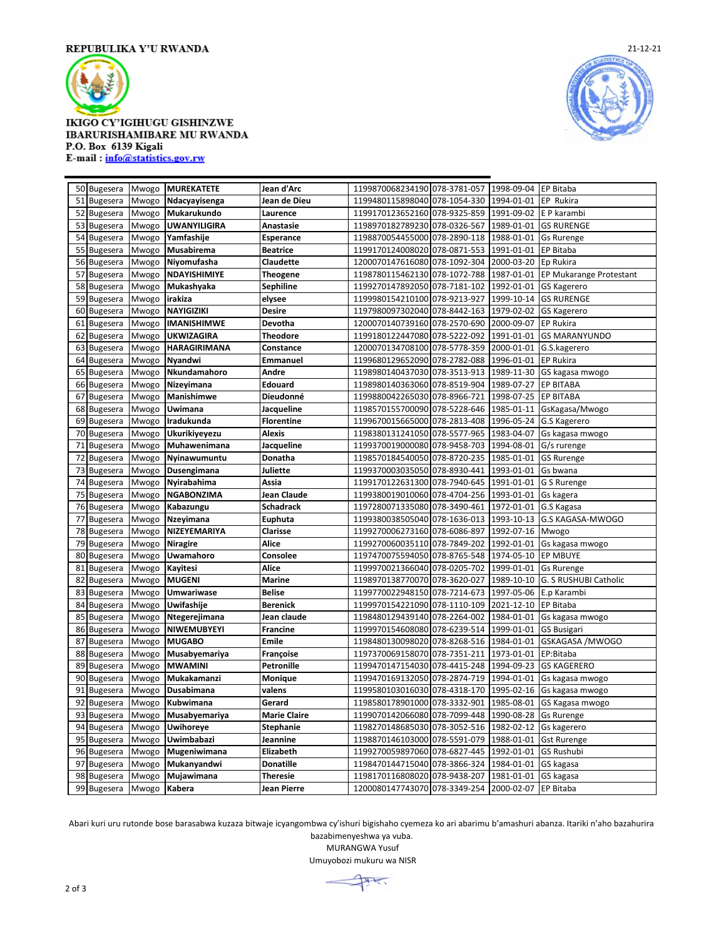

## **IKIGO CY'IGIHUGU GISHINZWE IBARURISHAMIBARE MU RWANDA** P.O. Box 6139 Kigali E-mail: info@statistics.gov.rw



| 50 Bugesera           | Mwogo | <b>MUREKATETE</b>   | Jean d'Arc          | 1199870068234190 078-3781-057                      |              | 1998-09-04 | <b>EP Bitaba</b>               |
|-----------------------|-------|---------------------|---------------------|----------------------------------------------------|--------------|------------|--------------------------------|
| <b>Bugesera</b><br>51 | Mwogo | Ndacyayisenga       | Jean de Dieu        | 1199480115898040 078-1054-330                      |              | 1994-01-01 | EP Rukira                      |
| 52<br>Bugesera        | Mwogo | Mukarukundo         | Laurence            | 1199170123652160 078-9325-859                      |              | 1991-09-02 | E P karambi                    |
| 53<br>Bugesera        | Mwogo | <b>UWANYILIGIRA</b> | Anastasie           | 1198970182789230 078-0326-567                      |              | 1989-01-01 | <b>GS RURENGE</b>              |
| 54<br><b>Bugesera</b> | Mwogo | Yamfashije          | Esperance           | 1198870054455000 078-2890-118                      |              | 1988-01-01 | <b>Gs Rurenge</b>              |
| 55<br><b>Bugesera</b> | Mwogo | Musabirema          | <b>Beatrice</b>     | 1199170124008020 078-0871-553                      |              | 1991-01-01 | <b>EP Bitaba</b>               |
| 56<br>Bugesera        | Mwogo | Niyomufasha         | Claudette           | 1200070147616080 078-1092-304                      |              | 2000-03-20 | Ep Rukira                      |
| 57<br><b>Bugesera</b> | Mwogo | NDAYISHIMIYE        | Theogene            | 1198780115462130 078-1072-788                      |              | 1987-01-01 | <b>EP Mukarange Protestant</b> |
| 58<br><b>Bugesera</b> | Mwogo | Mukashyaka          | Sephiline           | 1199270147892050 078-7181-102                      |              | 1992-01-01 | <b>GS Kagerero</b>             |
| 59<br>Bugesera        | Mwogo | irakiza             | elysee              | 1199980154210100 078-9213-927                      |              | 1999-10-14 | <b>GS RURENGE</b>              |
| 60<br>Bugesera        | Mwogo | <b>NAYIGIZIKI</b>   | <b>Desire</b>       | 1197980097302040 078-8442-163                      |              | 1979-02-02 | <b>GS Kagerero</b>             |
| 61<br><b>Bugesera</b> | Mwogo | <b>IMANISHIMWE</b>  | Devotha             | 1200070140739160 078-2570-690                      |              | 2000-09-07 | <b>EP Rukira</b>               |
| 62<br><b>Bugesera</b> | Mwogo | <b>UKWIZAGIRA</b>   | Theodore            | 1199180122447080 078-5222-092                      |              | 1991-01-01 | <b>GS MARANYUNDO</b>           |
| 63<br>Bugesera        | Mwogo | HARAGIRIMANA        | Constance           | 1200070134708100 078-5778-359                      |              | 2000-01-01 | G.S.kagerero                   |
| 64<br>Bugesera        | Mwogo | Nyandwi             | Emmanuel            | 1199680129652090 078-2782-088                      |              | 1996-01-01 | <b>EP Rukira</b>               |
| 65<br><b>Bugesera</b> | Mwogo | Nkundamahoro        | Andre               | 1198980140437030 078-3513-913                      |              | 1989-11-30 | GS kagasa mwogo                |
| 66<br><b>Bugesera</b> | Mwogo | Nizeyimana          | Edouard             | 1198980140363060 078-8519-904                      |              | 1989-07-27 | <b>EP BITABA</b>               |
| 67<br><b>Bugesera</b> | Mwogo | Manishimwe          | Dieudonné           | 1199880042265030 078-8966-721                      |              | 1998-07-25 | <b>EP BITABA</b>               |
| Bugesera<br>68        | Mwogo | Uwimana             | Jacqueline          | 1198570155700090 078-5228-646                      |              | 1985-01-11 | GsKagasa/Mwogo                 |
| 69<br><b>Bugesera</b> | Mwogo | Iradukunda          | <b>Florentine</b>   | 1199670015665000 078-2813-408                      |              | 1996-05-24 | G.S Kagerero                   |
| 70<br><b>Bugesera</b> | Mwogo | Ukurikiyeyezu       | Alexis              | 1198380131241050 078-5577-965                      |              | 1983-04-07 | Gs kagasa mwogo                |
| Bugesera<br>71        | Mwogo | Muhawenimana        | Jacqueline          | 1199370019000080 078-9458-703                      |              | 1994-08-01 | G/s rurenge                    |
| 72<br><b>Bugesera</b> | Mwogo | Nyinawumuntu        | Donatha             | 1198570184540050 078-8720-235                      |              | 1985-01-01 | <b>GS Rurenge</b>              |
| 73<br><b>Bugesera</b> | Mwogo | Dusengimana         | Juliette            | 1199370003035050 078-8930-441                      |              | 1993-01-01 | Gs bwana                       |
| 74<br>Bugesera        | Mwogo | Nyirabahima         | Assia               | 1199170122631300 078-7940-645                      |              | 1991-01-01 | G S Rurenge                    |
| 75<br>Bugesera        | Mwogo | <b>NGABONZIMA</b>   | Jean Claude         | 1199380019010060 078-4704-256                      |              | 1993-01-01 | Gs kagera                      |
| 76<br><b>Bugesera</b> | Mwogo | Kabazungu           | <b>Schadrack</b>    | 1197280071335080 078-3490-461                      |              | 1972-01-01 | G.S Kagasa                     |
| 77<br>Bugesera        | Mwogo | Nzeyimana           | Euphuta             | 1199380038505040 078-1636-013                      |              | 1993-10-13 | G.S KAGASA-MWOGO               |
| 78<br>Bugesera        | Mwogo | NIZEYEMARIYA        | Clarisse            | 1199270006273160 078-6086-897                      |              | 1992-07-16 | Mwogo                          |
| 79<br><b>Bugesera</b> | Mwogo | <b>Niragire</b>     | Alice               | 1199270060035110 078-7849-202                      |              | 1992-01-01 | Gs kagasa mwogo                |
| 80<br><b>Bugesera</b> | Mwogo | Uwamahoro           | Consolee            | 1197470075594050 078-8765-548                      |              | 1974-05-10 | EP MBUYE                       |
| 81<br><b>Bugesera</b> | Mwogo | Kayitesi            | Alice               | 1199970021366040                                   | 078-0205-702 | 1999-01-01 | <b>Gs Rurenge</b>              |
| 82<br><b>Bugesera</b> | Mwogo | <b>MUGENI</b>       | Marine              | 1198970138770070 078-3620-027                      |              | 1989-10-10 | G. S RUSHUBI Catholic          |
| 83<br>Bugesera        | Mwogo | <b>Umwariwase</b>   | <b>Belise</b>       | 1199770022948150                                   | 078-7214-673 | 1997-05-06 | E.p Karambi                    |
| 84<br><b>Bugesera</b> | Mwogo | Uwifashije          | Berenick            | 1199970154221090 078-1110-109                      |              | 2021-12-10 | EP Bitaba                      |
| 85<br><b>Bugesera</b> | Mwogo | Ntegerejimana       | Jean claude         | 1198480129439140 078-2264-002                      |              | 1984-01-01 | Gs kagasa mwogo                |
| 86<br><b>Bugesera</b> | Mwogo | NIWEMUBYEYI         | <b>Francine</b>     | 1199970154608080 078-6239-514                      |              | 1999-01-01 | <b>GS Busigari</b>             |
| 87<br><b>Bugesera</b> | Mwogo | <b>MUGABO</b>       | Emile               | 1198480130098020 078-8268-516                      |              | 1984-01-01 | GSKAGASA /MWOGO                |
| 88<br><b>Bugesera</b> | Mwogo | Musabyemariya       | Françoise           | 1197370069158070 078-7351-211                      |              | 1973-01-01 | EP:Bitaba                      |
| 89<br><b>Bugesera</b> | Mwogo | <b>MWAMINI</b>      | <b>Petronille</b>   | 1199470147154030 078-4415-248                      |              | 1994-09-23 | <b>GS KAGERERO</b>             |
| 90<br><b>Bugesera</b> | Mwogo | Mukakamanzi         | Monique             | 1199470169132050 078-2874-719                      |              | 1994-01-01 | Gs kagasa mwogo                |
| 91<br>Bugesera        | Mwogo | Dusabimana          | valens              | 1199580103016030 078-4318-170                      |              | 1995-02-16 | Gs kagasa mwogo                |
| 92<br><b>Bugesera</b> | Mwogo | Kubwimana           | Gerard              | 1198580178901000 078-3332-901                      |              | 1985-08-01 | GS Kagasa mwogo                |
| 93<br>Bugesera        | Mwogo | Musabyemariya       | <b>Marie Claire</b> | 1199070142066080 078-7099-448                      |              | 1990-08-28 | <b>Gs Rurenge</b>              |
| 94<br>Bugesera        | Mwogo | <b>Uwihoreye</b>    | Stephanie           | 1198270148685030 078-3052-516                      |              | 1982-02-12 | Gs kagerero                    |
| 95<br><b>Bugesera</b> | Mwogo | Uwimbabazi          | Jeannine            | 1198870146103000 078-5591-079                      |              | 1988-01-01 | <b>Gst Rurenge</b>             |
| 96<br>Bugesera        | Mwogo | Mugeniwimana        | Elizabeth           | 1199270059897060 078-6827-445                      |              | 1992-01-01 | <b>GS Rushubi</b>              |
| 97<br>Bugesera        | Mwogo | Mukanyandwi         | <b>Donatille</b>    | 1198470144715040 078-3866-324                      |              | 1984-01-01 | GS kagasa                      |
| 98<br><b>Bugesera</b> | Mwogo | Mujawimana          | <b>Theresie</b>     | 1198170116808020 078-9438-207                      |              | 1981-01-01 | GS kagasa                      |
| 99<br>Bugesera        | Mwogo | Kabera              | <b>Jean Pierre</b>  | 1200080147743070 078-3349-254 2000-02-07 EP Bitaba |              |            |                                |

Abari kuri uru rutonde bose barasabwa kuzaza bitwaje icyangombwa cy'ishuri bigishaho cyemeza ko ari abarimu b'amashuri abanza. Itariki n'aho bazahurira bazabimenyeshwa ya vuba.

MURANGWA Yusuf

Umuyobozi mukuru wa NISR